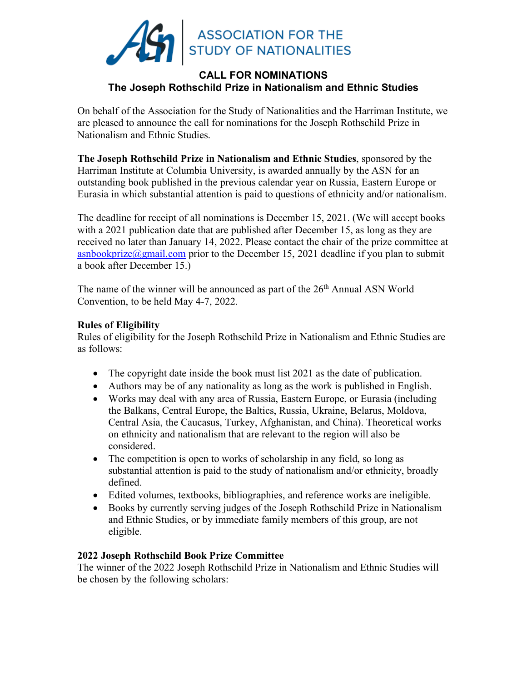

# **CALL FOR NOMINATIONS The Joseph Rothschild Prize in Nationalism and Ethnic Studies**

On behalf of the Association for the Study of Nationalities and the Harriman Institute, we are pleased to announce the call for nominations for the Joseph Rothschild Prize in Nationalism and Ethnic Studies.

**The Joseph Rothschild Prize in Nationalism and Ethnic Studies**, sponsored by the Harriman Institute at Columbia University, is awarded annually by the ASN for an outstanding book published in the previous calendar year on Russia, Eastern Europe or Eurasia in which substantial attention is paid to questions of ethnicity and/or nationalism.

The deadline for receipt of all nominations is December 15, 2021. (We will accept books with a 2021 publication date that are published after December 15, as long as they are received no later than January 14, 2022. Please contact the chair of the prize committee at asnbookprize $\omega$ gmail.com prior to the December 15, 2021 deadline if you plan to submit a book after December 15.)

The name of the winner will be announced as part of the 26<sup>th</sup> Annual ASN World Convention, to be held May 4-7, 2022.

## **Rules of Eligibility**

Rules of eligibility for the Joseph Rothschild Prize in Nationalism and Ethnic Studies are as follows:

- The copyright date inside the book must list 2021 as the date of publication.
- Authors may be of any nationality as long as the work is published in English.
- Works may deal with any area of Russia, Eastern Europe, or Eurasia (including the Balkans, Central Europe, the Baltics, Russia, Ukraine, Belarus, Moldova, Central Asia, the Caucasus, Turkey, Afghanistan, and China). Theoretical works on ethnicity and nationalism that are relevant to the region will also be considered.
- The competition is open to works of scholarship in any field, so long as substantial attention is paid to the study of nationalism and/or ethnicity, broadly defined.
- Edited volumes, textbooks, bibliographies, and reference works are ineligible.
- Books by currently serving judges of the Joseph Rothschild Prize in Nationalism and Ethnic Studies, or by immediate family members of this group, are not eligible.

## **2022 Joseph Rothschild Book Prize Committee**

The winner of the 2022 Joseph Rothschild Prize in Nationalism and Ethnic Studies will be chosen by the following scholars: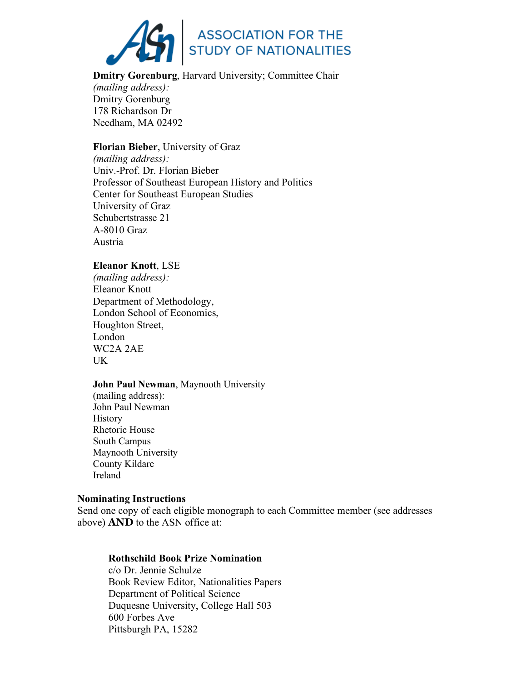

**Dmitry Gorenburg**, Harvard University; Committee Chair *(mailing address):* Dmitry Gorenburg 178 Richardson Dr Needham, MA 02492

**Florian Bieber**, University of Graz *(mailing address):* Univ.-Prof. Dr. Florian Bieber Professor of Southeast European History and Politics Center for Southeast European Studies University of Graz Schubertstrasse 21 A-8010 Graz Austria

### **Eleanor Knott**, LSE

*(mailing address):* Eleanor Knott Department of Methodology, London School of Economics, Houghton Street, London WC2A 2AE UK

### **John Paul Newman**, Maynooth University

(mailing address): John Paul Newman **History** Rhetoric House South Campus Maynooth University County Kildare Ireland

#### **Nominating Instructions**

Send one copy of each eligible monograph to each Committee member (see addresses above) **AND** to the ASN office at:

### **Rothschild Book Prize Nomination**

c/o Dr. Jennie Schulze Book Review Editor, Nationalities Papers Department of Political Science Duquesne University, College Hall 503 600 Forbes Ave Pittsburgh PA, 15282